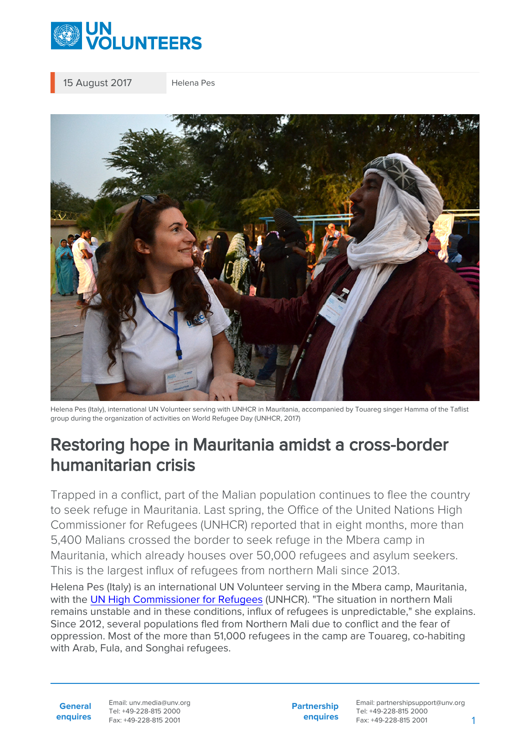

15 August 2017 Helena Pes



Helena Pes (Italy), international UN Volunteer serving with UNHCR in Mauritania, accompanied by Touareg singer Hamma of the Taflist group during the organization of activities on World Refugee Day (UNHCR, 2017)

## Restoring hope in Mauritania amidst a cross-border humanitarian crisis

Trapped in a conflict, part of the Malian population continues to flee the country to seek refuge in Mauritania. Last spring, the Office of the United Nations High Commissioner for Refugees (UNHCR) reported that in eight months, more than 5,400 Malians crossed the border to seek refuge in the Mbera camp in Mauritania, which already houses over 50,000 refugees and asylum seekers. This is the largest influx of refugees from northern Mali since 2013.

Helena Pes (Italy) is an international UN Volunteer serving in the Mbera camp, Mauritania, with the [UN High Commissioner for Refugees](https://reporting.unhcr.org:443/mauritania) (UNHCR). "The situation in northern Mali remains unstable and in these conditions, influx of refugees is unpredictable," she explains. Since 2012, several populations fled from Northern Mali due to conflict and the fear of oppression. Most of the more than 51,000 refugees in the camp are Touareg, co-habiting with Arab, Fula, and Songhai refugees.

**General enquires** Email: unv.media@unv.org Tel: +49-228-815 2000 Fax: +49-228-815 2001

**Partnership enquires** Email: partnershipsupport@unv.org Tel: +49-228-815 2000 Fax: +49-228-815 2001 1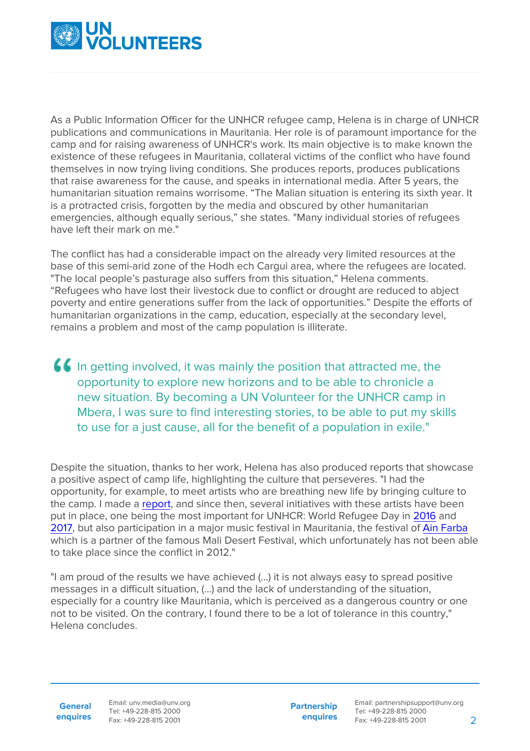

As a Public Information Officer for the UNHCR refugee camp, Helena is in charge of UNHCR publications and communications in Mauritania. Her role is of paramount importance for the camp and for raising awareness of UNHCR's work. Its main objective is to make known the existence of these refugees in Mauritania, collateral victims of the conflict who have found themselves in now trying living conditions. She produces reports, produces publications that raise awareness for the cause, and speaks in international media. After 5 years, the humanitarian situation remains worrisome. "The Malian situation is entering its sixth year. It is a protracted crisis, forgotten by the media and obscured by other humanitarian emergencies, although equally serious," she states. "Many individual stories of refugees have left their mark on me."

The conflict has had a considerable impact on the already very limited resources at the base of this semi-arid zone of the Hodh ech Cargui area, where the refugees are located. "The local people's pasturage also suffers from this situation," Helena comments. "Refugees who have lost their livestock due to conflict or drought are reduced to abject poverty and entire generations suffer from the lack of opportunities." Despite the efforts of humanitarian organizations in the camp, education, especially at the secondary level, remains a problem and most of the camp population is illiterate.

In getting involved, it was mainly the position that attracted me, the opportunity to explore new horizons and to be able to chronicle a new situation. By becoming a UN Volunteer for the UNHCR camp in Mbera, I was sure to find interesting stories, to be able to put my skills to use for a just cause, all for the benefit of a population in exile."

Despite the situation, thanks to her work, Helena has also produced reports that showcase a positive aspect of camp life, highlighting the culture that perseveres. "I had the opportunity, for example, to meet artists who are breathing new life by bringing culture to the camp. I made a [report,](https://www.unhcr.org/news/stories/2015/11/56ec1ead19/songs-of-love-and-exile-in-the-sahara.html?ref=tracks) and since then, several initiatives with these artists have been put in place, one being the most important for UNHCR: World Refugee Day in [2016](https://institutfrancais-mauritanie.com/vivre-lexil-journee-mondiale-des-refugies-2016/) and [2017](https://www.youtube.com/watch?v=iiiUFxrWIEg), but also participation in a major music festival in Mauritania, the festival of [Ain Farba](https://www.youtube.com/watch?v=V--u8khmTzo) which is a partner of the famous Mali Desert Festival, which unfortunately has not been able to take place since the conflict in 2012."

"I am proud of the results we have achieved (...) it is not always easy to spread positive messages in a difficult situation, (...) and the lack of understanding of the situation, especially for a country like Mauritania, which is perceived as a dangerous country or one not to be visited. On the contrary, I found there to be a lot of tolerance in this country," Helena concludes.

**General enquires** Email: unv.media@unv.org Tel: +49-228-815 2000 Fax: +49-228-815 2001

**Partnership enquires** Email: partnershipsupport@unv.org Tel: +49-228-815 2000 Fax: +49-228-815 2001 2